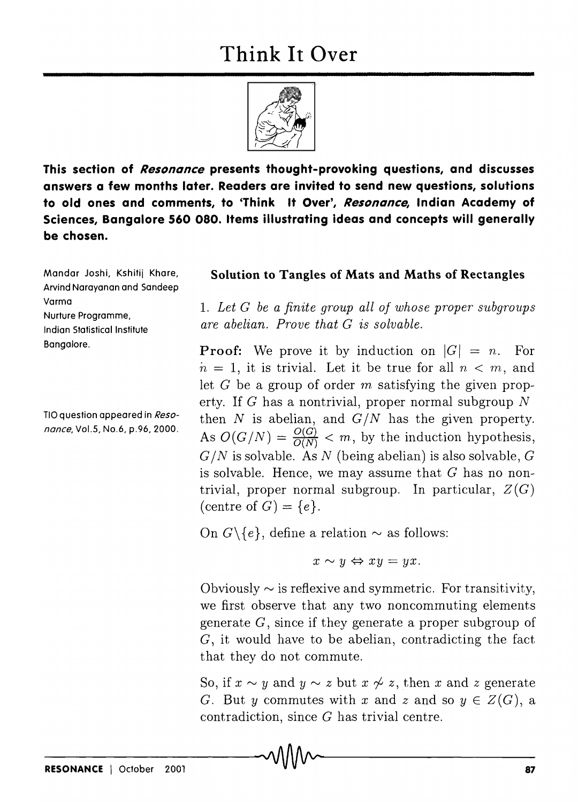

**This section of Resonance presents thought-provoking questions, and discusses answers a few months later. Readers are invited to send new questions, solutions to old ones and comments, to 'Think It Over', Resonance, Indian Academy of Sciences, Bangalore 560 080. Items illustrating ideas and concepts will generally be chosen.** 

Mondor Joshi, Kshitij Khare, Arvind Narayanan and Sandeep Varma Nurture Programme, Indian Statistical Institute Bangalore.

TIO question appeared in Reso*nance,* Vo1.5, No.6, p.96, 2000.

## **Solution to Tangles of Mats and Maths of Rectangles**

*1. Let G be a finite gro'up all of whose proper subgroups are abelian. Prove that G is solvable.* 

**Proof:** We prove it by induction on  $|G| = n$ . For  $n = 1$ , it is trivial. Let it be true for all  $n < m$ , and let  $G$  be a group of order  $m$  satisfying the given property. If G has a nontrivial, proper normal subgroup  $N$ then  $N$  is abelian, and  $G/N$  has the given property. As  $O(G/N) = \frac{O(G)}{O(N)} < m$ , by the induction hypothesis,  $G/N$  is solvable. As N (being abelian) is also solvable,  $G$ is solvable. Hence, we may assume that *G* has no nontrivial, proper normal subgroup. In particular,  $Z(G)$ (centre of  $G$ ) =  $\{e\}$ .

On  $G \setminus \{e\}$ , define a relation  $\sim$  as follows:

 $x \sim y \Leftrightarrow xy = yx.$ 

Obviously  $\sim$  is reflexive and symmetric. For transitivity, we first observe that any two noncommuting elements generate G, since if they generate a proper subgroup of G, it would have to be abelian, contradicting the fact that they do not commute.

So, if  $x \sim y$  and  $y \sim z$  but  $x \not\sim z$ , then x and z generate G. But *y* commutes with *x* and *z* and so  $y \in Z(G)$ , a contradiction, since G has trivial centre.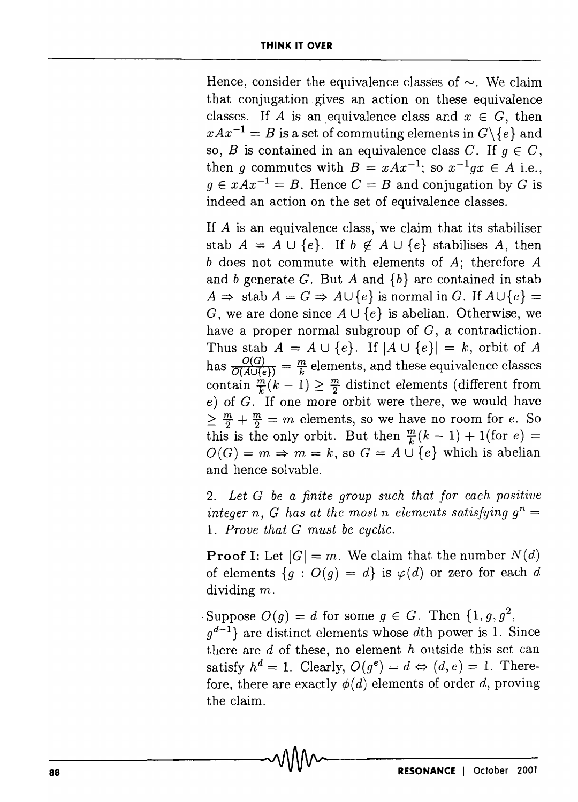Hence, consider the equivalence classes of  $\sim$ . We claim that conjugation gives an action on these equivalence classes. If *A* is an equivalence class and  $x \in G$ , then  $xAx^{-1} = B$  is a set of commuting elements in  $G \setminus \{e\}$  and so, *B* is contained in an equivalence class *C*. If  $q \in C$ , then *q* commutes with  $B = xAx^{-1}$ ; so  $x^{-1}qx \in A$  i.e.,  $q \in xAx^{-1} = B$ . Hence  $C = B$  and conjugation by G is indeed an action on the set of equivalence classes.

If *A* is an equivalence class, we claim that its stabiliser stab  $A = A \cup \{e\}$ . If  $b \notin A \cup \{e\}$  stabilises A, then *b* does not commute with elements of *A;* therefore *A*  and *b* generate *G.* But *A* and *{b}* are contained in stab  $A \Rightarrow$  stab  $A = G \Rightarrow A \cup \{e\}$  is normal in *G*. If  $A \cup \{e\}$  = G, we are done since  $A \cup \{e\}$  is abelian. Otherwise, we have a proper normal subgroup of  $G$ , a contradiction. Thus stab  $A = A \cup \{e\}$ . If  $|A \cup \{e\}| = k$ , orbit of A has  $\frac{O(G)}{O(A \cup \{e\})} = \frac{m}{k}$  elements, and these equivalence classes contain  $\frac{\dot{m}}{k}(k-1) \geq \frac{m}{2}$  distinct elements (different from e) of *G.* If one more orbit were there, we would have  $\geq \frac{m}{2} + \frac{m}{2} = m$  elements, so we have no room for e. So this is the only orbit. But then  $\frac{m}{k}(k-1) + 1$ (for e) =  $O(G) = m \Rightarrow m = k$ , so  $G = A \cup \{e\}$  which is abelian and hence solvable.

2. *Let G be a finite group such that for each positive integer n, G has at the most n elements satisfying*  $g^n =$ 1. *Prove that G must be cyclic.* 

**Proof I:** Let  $|G| = m$ . We claim that the number  $N(d)$ of elements  ${g : O(g) = d}$  is  $\varphi(d)$  or zero for each d dividing m.

Suppose  $O(q) = d$  for some  $q \in G$ . Then  $\{1, g, g^2\}$ ,

 $q^{d-1}$  are distinct elements whose dth power is 1. Since there are  $d$  of these, no element  $h$  outside this set can satisfy  $h^d = 1$ . Clearly,  $O(g^e) = d \Leftrightarrow (d, e) = 1$ . Therefore, there are exactly  $\phi(d)$  elements of order d, proving the claim.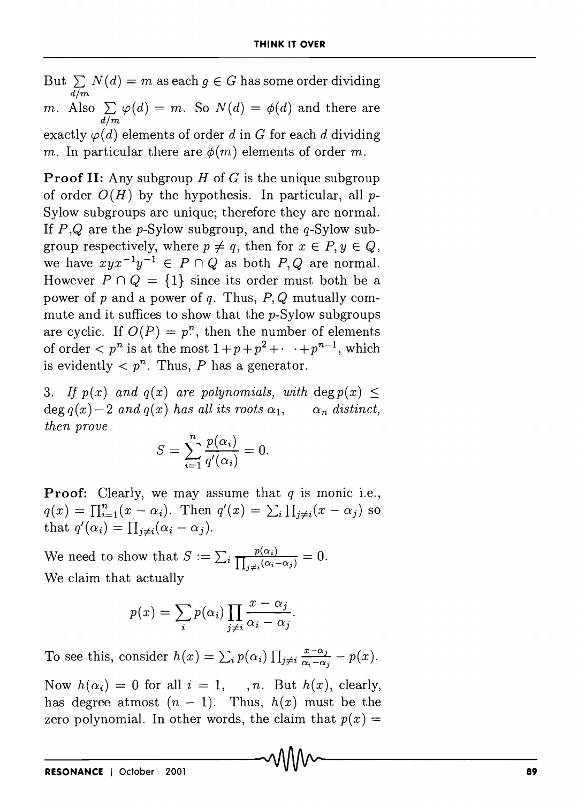But  $\sum N(d) = m$  as each  $g \in G$  has some order dividing *dim m.* Also  $\sum \varphi(d) = m$ . So  $N(d) = \varphi(d)$  and there are *dim*  exactly  $\varphi(d)$  elements of order d in G for each d dividing *m.* In particular there are  $\phi(m)$  elements of order *m*.

**Proof II:** Any subgroup  $H$  of  $G$  is the unique subgroup of order  $O(H)$  by the hypothesis. In particular, all p-Sylow subgroups are unique; therefore they are normal. If  $P,Q$  are the p-Sylow subgroup, and the  $q$ -Sylow subgroup respectively, where  $p \neq q$ , then for  $x \in P, y \in Q$ , we have  $xyx^{-1}y^{-1} \in P \cap Q$  as both  $P, Q$  are normal. However  $P \cap Q = \{1\}$  since its order must both be a power of p and a power of q. Thus,  $P, Q$  mutually commute and it suffices to show that the p-Sylow subgroups are cyclic. If  $O(P) = p^n$ , then the number of elements of order  $\langle p^n \rangle$  is at the most  $1 + p + p^2 + \cdots + p^{n-1}$ , which is evidently  $\langle p^n \rangle$ . Thus, P has a generator.

3. If  $p(x)$  and  $q(x)$  are polynomials, with deg  $p(x) \leq$  $\deg q(x) - 2$  *and*  $q(x)$  has all its roots  $\alpha_1$ ,  $\alpha_n$  distinct, *then prove* 

$$
S = \sum_{i=1}^{n} \frac{p(\alpha_i)}{q'(\alpha_i)} = 0.
$$

**Proof:** Clearly, we may assume that  $q$  is monic i.e.,  $q(x) = \prod_{i=1}^{n} (x - \alpha_i)$ . Then  $q'(x) = \sum_{i} \prod_{j \neq i} (x - \alpha_j)$  so that  $q'(\alpha_i) = \prod_{i \neq i} (\alpha_i - \alpha_j)$ .

We need to show that  $S := \sum_i \frac{p(\alpha_i)}{\prod_{i \neq i} (\alpha_i - \alpha_j)} = 0$ . We claim that actually

$$
p(x) = \sum_{i} p(\alpha_i) \prod_{j \neq i} \frac{x - \alpha_j}{\alpha_i - \alpha_j}
$$

To see this, consider  $h(x) = \sum_i p(\alpha_i) \prod_{j \neq i} \frac{x - \alpha_j}{\alpha_i - \alpha_j} - p(x)$ .

Now  $h(\alpha_i) = 0$  for all  $i = 1, \dots, n$ . But  $h(x)$ , clearly, has degree at most  $(n - 1)$ . Thus,  $h(x)$  must be the zero polynomial. In other words, the claim that  $p(x) =$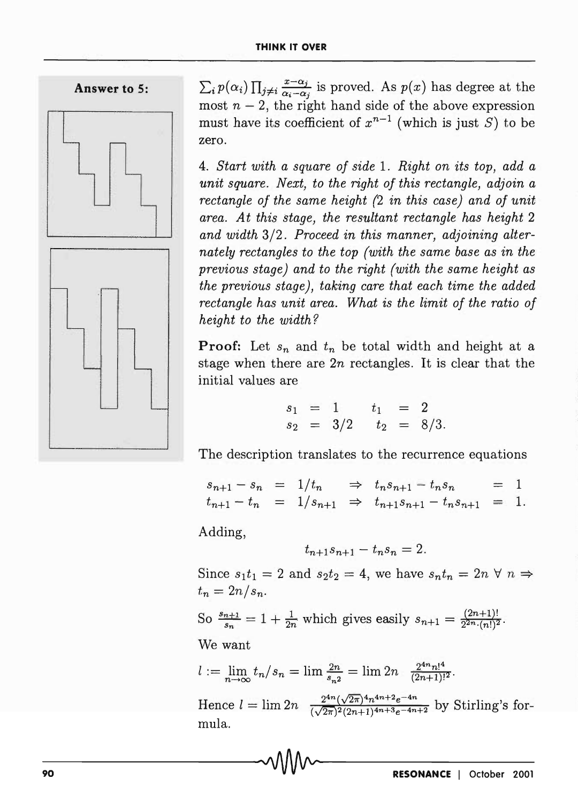



- - - -

 $\sum_i p(\alpha_i) \prod_{j \neq i} \frac{x-\alpha_j}{\alpha_i-\alpha_j}$  is proved. As  $p(x)$  has degree at the most  $n-2$ , the right hand side of the above expression must have its coefficient of  $x^{n-1}$  (which is just S) to be zero.

*4. Start with a square of side* 1. *Right on its top, add a unit square. Next, to the right of this rectangle, adjoin a rectangle of the same height* (2 *in this case) and of unit area. At this stage, the resultant rectangle has height* 2 *and width* 3/2. *Proceed in this manner, adjoining alternately rectangles to the top (with the same base as in the previous stage) and to the right (with the same height as the previous stage), taking care that each time the added rectangle has unit area. What is the limit of the ratio of height to the width?* 

**Proof:** Let  $s_n$  and  $t_n$  be total width and height at a stage when there are *2n* rectangles. It is clear that the initial values are

$$
\begin{array}{rcl}\ns_1 &=& 1 & t_1 &=& 2 \\
s_2 &=& 3/2 & t_2 &=& 8/3.\n\end{array}
$$

The description translates to the recurrence equations

$$
s_{n+1} - s_n = 1/t_n \Rightarrow t_n s_{n+1} - t_n s_n = 1
$$
  

$$
t_{n+1} - t_n = 1/s_{n+1} \Rightarrow t_{n+1} s_{n+1} - t_n s_{n+1} = 1.
$$

Adding,

$$
t_{n+1}s_{n+1} - t_ns_n = 2.
$$

Since  $s_1t_1 = 2$  and  $s_2t_2 = 4$ , we have  $s_nt_n = 2n \forall n \Rightarrow$  $t_n = 2n/s_n$ .

So  $\frac{s_{n+1}}{s_n} = 1 + \frac{1}{2n}$  which gives easily  $s_{n+1} = \frac{(2n+1)!}{2^{2n} \cdot (n!)^2}$ .

We want

$$
l := \lim_{n \to \infty} t_n / s_n = \lim_{n \to \infty} \frac{2n}{s_n^2} = \lim_{n \to \infty} 2n \frac{2^{4n} n!^4}{(2n+1)!^2}.
$$
  
Hence  $l = \lim_{n \to \infty} 2n \frac{2^{4n} (\sqrt{2n})^4 n^{4n+2} e^{-4n}}{(\sqrt{2n})^2 (2n+1)^{4n+3} e^{-4n+2}}$  by Stirling's formula.